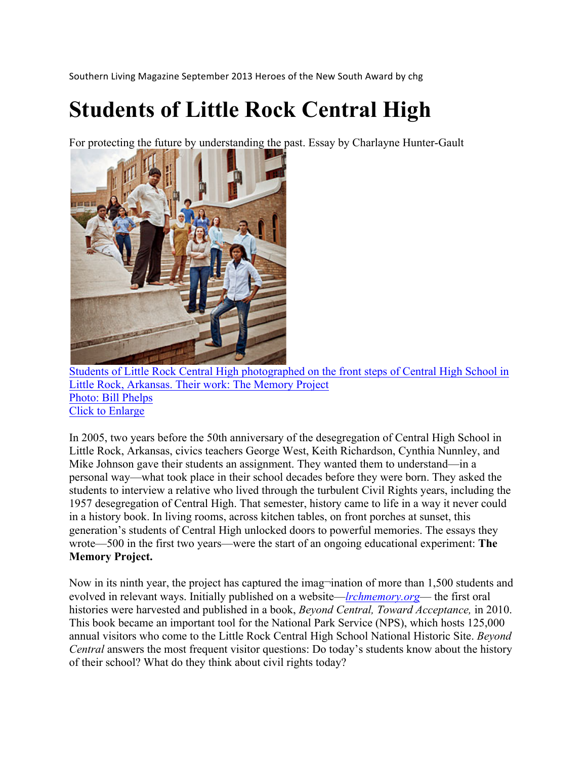Southern Living Magazine September 2013 Heroes of the New South Award by chg

## **Students of Little Rock Central High**

For protecting the future by understanding the past. Essay by Charlayne Hunter-Gault



Students of Little Rock Central High photographed on the front steps of Central High School in Little Rock, Arkansas. Their work: The Memory Project Photo: Bill Phelps Click to Enlarge

In 2005, two years before the 50th anniversary of the desegregation of Central High School in Little Rock, Arkansas, civics teachers George West, Keith Richardson, Cynthia Nunnley, and Mike Johnson gave their students an assignment. They wanted them to understand—in a personal way—what took place in their school decades before they were born. They asked the students to interview a relative who lived through the turbulent Civil Rights years, including the 1957 desegregation of Central High. That semester, history came to life in a way it never could in a history book. In living rooms, across kitchen tables, on front porches at sunset, this generation's students of Central High unlocked doors to powerful memories. The essays they wrote—500 in the first two years—were the start of an ongoing educational experiment: **The Memory Project.**

Now in its ninth year, the project has captured the imag-ination of more than 1,500 students and evolved in relevant ways. Initially published on a website—*lrchmemory.org*— the first oral histories were harvested and published in a book, *Beyond Central, Toward Acceptance,* in 2010. This book became an important tool for the National Park Service (NPS), which hosts 125,000 annual visitors who come to the Little Rock Central High School National Historic Site. *Beyond Central* answers the most frequent visitor questions: Do today's students know about the history of their school? What do they think about civil rights today?